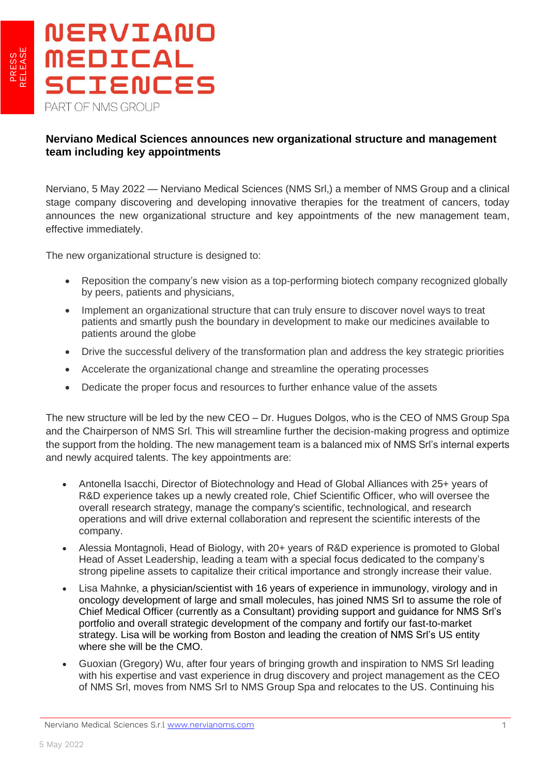

## **Nerviano Medical Sciences announces new organizational structure and management team including key appointments**

Nerviano, 5 May 2022 — Nerviano Medical Sciences (NMS Srl,) a member of NMS Group and a clinical stage company discovering and developing innovative therapies for the treatment of cancers, today announces the new organizational structure and key appointments of the new management team, effective immediately.

The new organizational structure is designed to:

- Reposition the company's new vision as a top-performing biotech company recognized globally by peers, patients and physicians,
- Implement an organizational structure that can truly ensure to discover novel ways to treat patients and smartly push the boundary in development to make our medicines available to patients around the globe
- Drive the successful delivery of the transformation plan and address the key strategic priorities
- Accelerate the organizational change and streamline the operating processes
- Dedicate the proper focus and resources to further enhance value of the assets

The new structure will be led by the new CEO – Dr. Hugues Dolgos, who is the CEO of NMS Group Spa and the Chairperson of NMS Srl. This will streamline further the decision-making progress and optimize the support from the holding. The new management team is a balanced mix of NMS Srl's internal experts and newly acquired talents. The key appointments are:

- Antonella Isacchi, Director of Biotechnology and Head of Global Alliances with 25+ years of R&D experience takes up a newly created role, Chief Scientific Officer, who will oversee the overall research strategy, manage the company's scientific, technological, and research operations and will drive external collaboration and represent the scientific interests of the company.
- Alessia Montagnoli, Head of Biology, with 20+ years of R&D experience is promoted to Global Head of Asset Leadership, leading a team with a special focus dedicated to the company's strong pipeline assets to capitalize their critical importance and strongly increase their value.
- Lisa Mahnke, a physician/scientist with 16 years of experience in immunology, virology and in oncology development of large and small molecules, has joined NMS Srl to assume the role of Chief Medical Officer (currently as a Consultant) providing support and guidance for NMS Srl's portfolio and overall strategic development of the company and fortify our fast-to-market strategy. Lisa will be working from Boston and leading the creation of NMS Srl's US entity where she will be the CMO.
- Guoxian (Gregory) Wu, after four years of bringing growth and inspiration to NMS Srl leading with his expertise and vast experience in drug discovery and project management as the CEO of NMS Srl, moves from NMS Srl to NMS Group Spa and relocates to the US. Continuing his

L

Nerviano Medical Sciences S.r.l [www.nervianoms.com](http://www.nervianoms.com/) 1